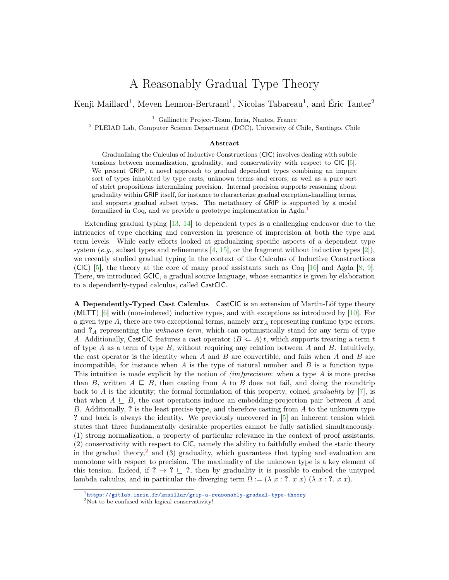## A Reasonably Gradual Type Theory

Kenji Maillard<sup>1</sup>, Meven Lennon-Bertrand<sup>1</sup>, Nicolas Tabareau<sup>1</sup>, and Éric Tanter<sup>2</sup>

<sup>1</sup> Gallinette Project-Team, Inria, Nantes, France

<sup>2</sup> PLEIAD Lab, Computer Science Department (DCC), University of Chile, Santiago, Chile

## Abstract

Gradualizing the Calculus of Inductive Constructions (CIC) involves dealing with subtle tensions between normalization, graduality, and conservativity with respect to CIC [\[5\]](#page-2-0). We present GRIP, a novel approach to gradual dependent types combining an impure sort of types inhabited by type casts, unknown terms and errors, as well as a pure sort of strict propositions internalizing precision. Internal precision supports reasoning about graduality within GRIP itself, for instance to characterize gradual exception-handling terms, and supports gradual subset types. The metatheory of GRIP is supported by a model formalized in Coq, and we provide a prototype implementation in Agda.<sup>[1](#page-0-0)</sup>

Extending gradual typing [\[13,](#page-2-1) [14\]](#page-2-2) to dependent types is a challenging endeavor due to the intricacies of type checking and conversion in presence of imprecision at both the type and term levels. While early efforts looked at gradualizing specific aspects of a dependent type system (e.g., subset types and refinements  $[4, 15]$  $[4, 15]$  $[4, 15]$ , or the fragment without inductive types  $[2]$ ), we recently studied gradual typing in the context of the Calculus of Inductive Constructions (CIC) [\[5\]](#page-2-0), the theory at the core of many proof assistants such as Coq  $[16]$  and Agda [\[8,](#page-2-7) [9\]](#page-2-8). There, we introduced GCIC, a gradual source language, whose semantics is given by elaboration to a dependently-typed calculus, called CastCIC.

A Dependently-Typed Cast Calculus CastCIC is an extension of Martin-Löf type theory (MLTT) [\[6\]](#page-2-9) with (non-indexed) inductive types, and with exceptions as introduced by [\[10\]](#page-2-10). For a given type  $A$ , there are two exceptional terms, namely  $err_A$  representing runtime type errors, and  $?_A$  representing the *unknown term*, which can optimistically stand for any term of type A. Additionally, CastCIC features a cast operator  $\langle B \leftarrow A \rangle t$ , which supports treating a term t of type  $A$  as a term of type  $B$ , without requiring any relation between  $A$  and  $B$ . Intuitively, the cast operator is the identity when  $A$  and  $B$  are convertible, and fails when  $A$  and  $B$  are incompatible, for instance when  $A$  is the type of natural number and  $B$  is a function type. This intuition is made explicit by the notion of  $(im)precision$ : when a type A is more precise than B, written  $A \subseteq B$ , then casting from A to B does not fail, and doing the roundtrip back to A is the identity; the formal formulation of this property, coined *graduality* by [\[7\]](#page-2-11), is that when  $A \subseteq B$ , the cast operations induce an embedding-projection pair between A and B. Additionally, ? is the least precise type, and therefore casting from A to the unknown type ? and back is always the identity. We previously uncovered in [\[5\]](#page-2-0) an inherent tension which states that three fundamentally desirable properties cannot be fully satisfied simultaneously: (1) strong normalization, a property of particular relevance in the context of proof assistants, (2) conservativity with respect to CIC, namely the ability to faithfully embed the static theory in the gradual theory,<sup>[2](#page-0-1)</sup> and (3) graduality, which guarantees that typing and evaluation are monotone with respect to precision. The maximality of the unknown type is a key element of this tension. Indeed, if ?  $\rightarrow$  ?  $\sqsubseteq$  ?, then by graduality it is possible to embed the untyped lambda calculus, and in particular the diverging term  $\Omega := (\lambda x : ? x x)$  ( $\lambda x : ? x x$ ).

<span id="page-0-0"></span><sup>1</sup><https://gitlab.inria.fr/kmaillar/grip-a-reasonably-gradual-type-theory>

<span id="page-0-1"></span> $^{2}\rm{Not}$  to be confused with logical conservativity!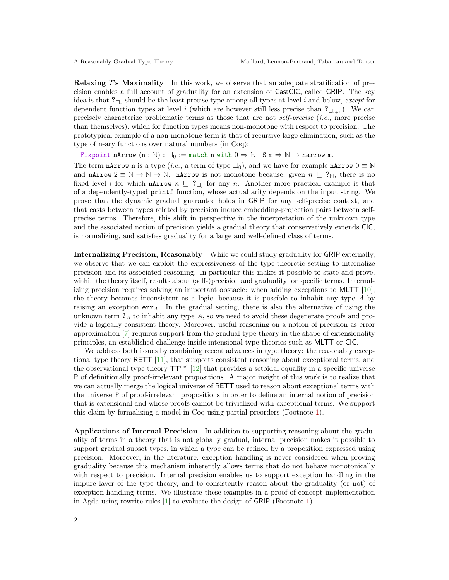Relaxing ?'s Maximality In this work, we observe that an adequate stratification of precision enables a full account of graduality for an extension of CastCIC, called GRIP. The key idea is that  $?_{\Box_i}$  should be the least precise type among all types at level i and below, except for dependent function types at level i (which are however still less precise than  $?_{\Box_{i+1}}$ ). We can precisely characterize problematic terms as those that are not self-precise (i.e., more precise than themselves), which for function types means non-monotone with respect to precision. The prototypical example of a non-monotone term is that of recursive large elimination, such as the type of n-ary functions over natural numbers (in Coq):

Fixpoint nArrow  $(n : \mathbb{N}) : \Box_0 := \text{match n with } 0 \Rightarrow \mathbb{N} \mid S \text{ m} \Rightarrow \mathbb{N} \rightarrow \text{narrow m}.$ 

The term nArrow n is a type (*i.e.*, a term of type  $\square_0$ ), and we have for example nArrow  $0 \equiv \mathbb{N}$ and **nArrow**  $2 \equiv \mathbb{N} \to \mathbb{N} \to \mathbb{N}$ . **nArrow** is not monotone because, given  $n \subseteq ?_{\mathbb{N}}$ , there is no fixed level *i* for which **nArrow**  $n \subseteq ?_{\square_i}$  for any *n*. Another more practical example is that of a dependently-typed printf function, whose actual arity depends on the input string. We prove that the dynamic gradual guarantee holds in GRIP for any self-precise context, and that casts between types related by precision induce embedding-projection pairs between selfprecise terms. Therefore, this shift in perspective in the interpretation of the unknown type and the associated notion of precision yields a gradual theory that conservatively extends CIC, is normalizing, and satisfies graduality for a large and well-defined class of terms.

Internalizing Precision, Reasonably While we could study graduality for GRIP externally, we observe that we can exploit the expressiveness of the type-theoretic setting to internalize precision and its associated reasoning. In particular this makes it possible to state and prove, within the theory itself, results about (self-)precision and graduality for specific terms. Internalizing precision requires solving an important obstacle: when adding exceptions to MLTT [\[10\]](#page-2-10), the theory becomes inconsistent as a logic, because it is possible to inhabit any type A by raising an exception  $err_A$ . In the gradual setting, there is also the alternative of using the unknown term  $?_A$  to inhabit any type  $A$ , so we need to avoid these degenerate proofs and provide a logically consistent theory. Moreover, useful reasoning on a notion of precision as error approximation [\[7\]](#page-2-11) requires support from the gradual type theory in the shape of extensionality principles, an established challenge inside intensional type theories such as MLTT or CIC.

We address both issues by combining recent advances in type theory: the reasonably exceptional type theory RETT [\[11\]](#page-2-12), that supports consistent reasoning about exceptional terms, and the observational type theory TTobs [\[12\]](#page-2-13) that provides a setoidal equality in a specific universe **P** of definitionally proof-irrelevant propositions. A major insight of this work is to realize that we can actually merge the logical universe of RETT used to reason about exceptional terms with the universe **P** of proof-irrelevant propositions in order to define an internal notion of precision that is extensional and whose proofs cannot be trivialized with exceptional terms. We support this claim by formalizing a model in Coq using partial preorders (Footnote [1\)](#page-0-0).

Applications of Internal Precision In addition to supporting reasoning about the graduality of terms in a theory that is not globally gradual, internal precision makes it possible to support gradual subset types, in which a type can be refined by a proposition expressed using precision. Moreover, in the literature, exception handling is never considered when proving graduality because this mechanism inherently allows terms that do not behave monotonically with respect to precision. Internal precision enables us to support exception handling in the impure layer of the type theory, and to consistently reason about the graduality (or not) of exception-handling terms. We illustrate these examples in a proof-of-concept implementation in Agda using rewrite rules [\[1\]](#page-2-14) to evaluate the design of GRIP (Footnote [1\)](#page-0-0).